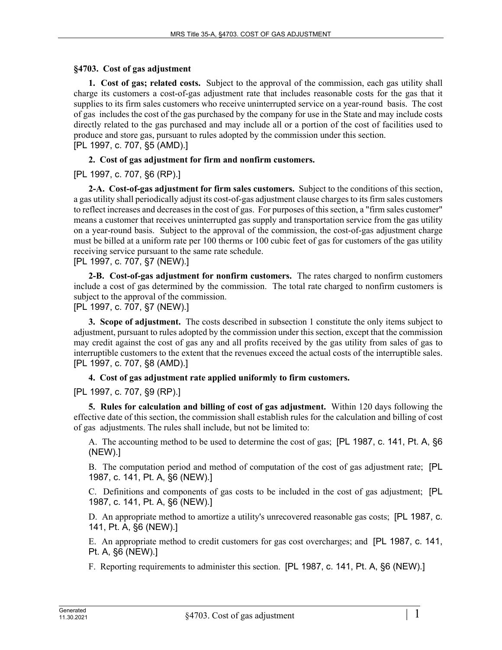### **§4703. Cost of gas adjustment**

**1. Cost of gas; related costs.** Subject to the approval of the commission, each gas utility shall charge its customers a cost-of-gas adjustment rate that includes reasonable costs for the gas that it supplies to its firm sales customers who receive uninterrupted service on a year-round basis. The cost of gas includes the cost of the gas purchased by the company for use in the State and may include costs directly related to the gas purchased and may include all or a portion of the cost of facilities used to produce and store gas, pursuant to rules adopted by the commission under this section. [PL 1997, c. 707, §5 (AMD).]

## **2. Cost of gas adjustment for firm and nonfirm customers.**

[PL 1997, c. 707, §6 (RP).]

**2-A. Cost-of-gas adjustment for firm sales customers.** Subject to the conditions of this section, a gas utility shall periodically adjust its cost-of-gas adjustment clause charges to its firm sales customers to reflect increases and decreases in the cost of gas. For purposes of this section, a "firm sales customer" means a customer that receives uninterrupted gas supply and transportation service from the gas utility on a year-round basis. Subject to the approval of the commission, the cost-of-gas adjustment charge must be billed at a uniform rate per 100 therms or 100 cubic feet of gas for customers of the gas utility receiving service pursuant to the same rate schedule.

[PL 1997, c. 707, §7 (NEW).]

**2-B. Cost-of-gas adjustment for nonfirm customers.** The rates charged to nonfirm customers include a cost of gas determined by the commission. The total rate charged to nonfirm customers is subject to the approval of the commission.

[PL 1997, c. 707, §7 (NEW).]

**3. Scope of adjustment.** The costs described in subsection 1 constitute the only items subject to adjustment, pursuant to rules adopted by the commission under this section, except that the commission may credit against the cost of gas any and all profits received by the gas utility from sales of gas to interruptible customers to the extent that the revenues exceed the actual costs of the interruptible sales. [PL 1997, c. 707, §8 (AMD).]

### **4. Cost of gas adjustment rate applied uniformly to firm customers.**

[PL 1997, c. 707, §9 (RP).]

**5. Rules for calculation and billing of cost of gas adjustment.** Within 120 days following the effective date of this section, the commission shall establish rules for the calculation and billing of cost of gas adjustments. The rules shall include, but not be limited to:

A. The accounting method to be used to determine the cost of gas; [PL 1987, c. 141, Pt. A, §6 (NEW).]

B. The computation period and method of computation of the cost of gas adjustment rate; [PL 1987, c. 141, Pt. A, §6 (NEW).]

C. Definitions and components of gas costs to be included in the cost of gas adjustment; [PL 1987, c. 141, Pt. A, §6 (NEW).]

D. An appropriate method to amortize a utility's unrecovered reasonable gas costs; [PL 1987, c. 141, Pt. A, §6 (NEW).]

E. An appropriate method to credit customers for gas cost overcharges; and [PL 1987, c. 141, Pt. A, §6 (NEW).]

F. Reporting requirements to administer this section. [PL 1987, c. 141, Pt. A, §6 (NEW).]